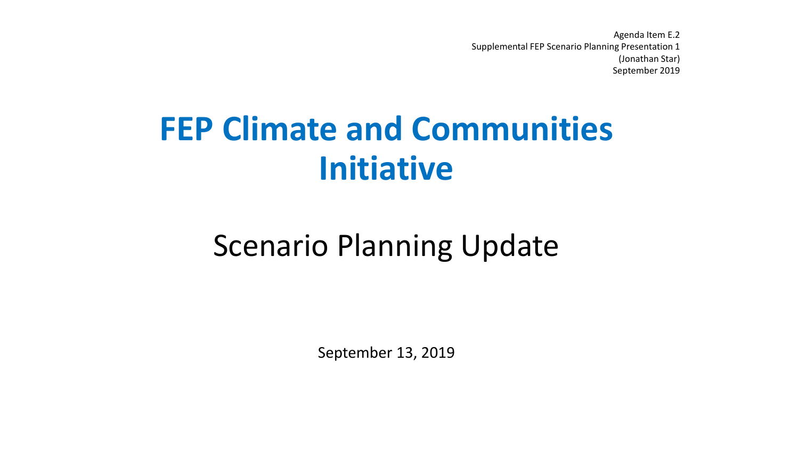Agenda Item E.2 Supplemental FEP Scenario Planning Presentation 1 (Jonathan Star) September 2019

# **FEP Climate and Communities Initiative**

### Scenario Planning Update

September 13, 2019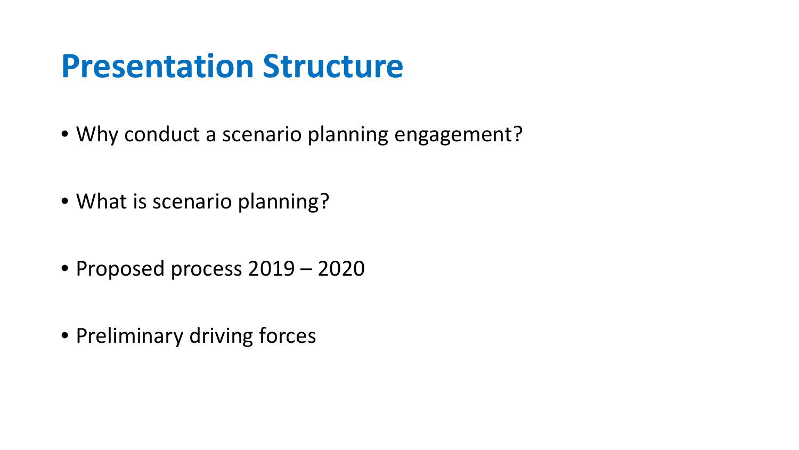### **Presentation Structure**

- Why conduct a scenario planning engagement?
- What is scenario planning?
- Proposed process 2019 2020
- Preliminary driving forces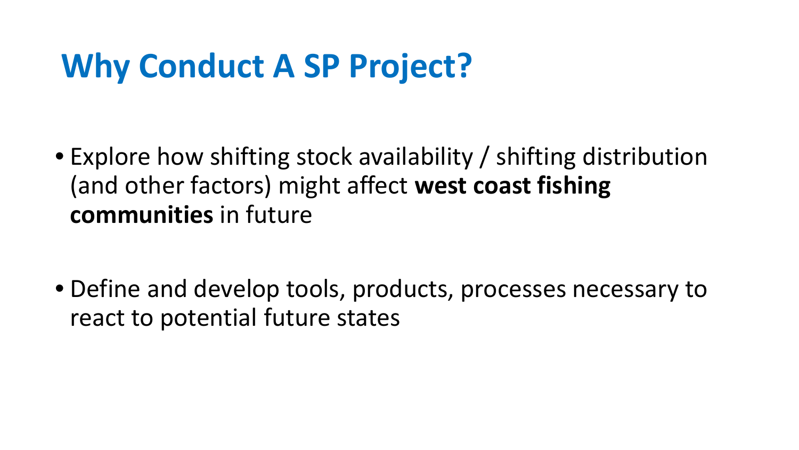# **Why Conduct A SP Project?**

• Explore how shifting stock availability / shifting distribution (and other factors) might affect **west coast fishing communities** in future

• Define and develop tools, products, processes necessary to react to potential future states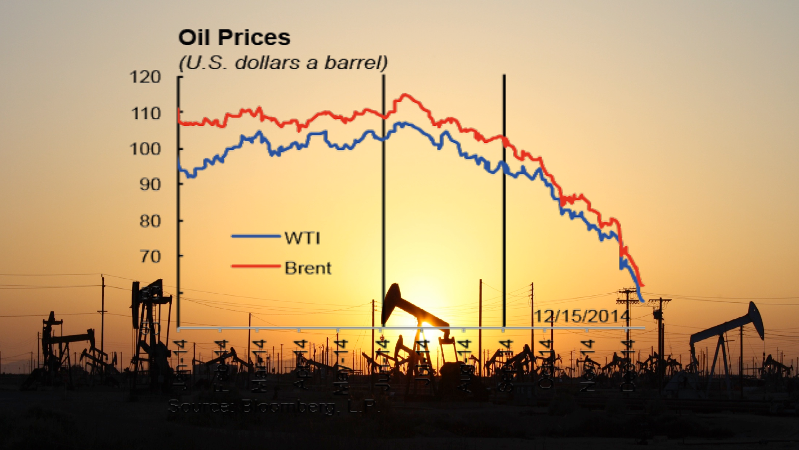#### **Oil Prices**

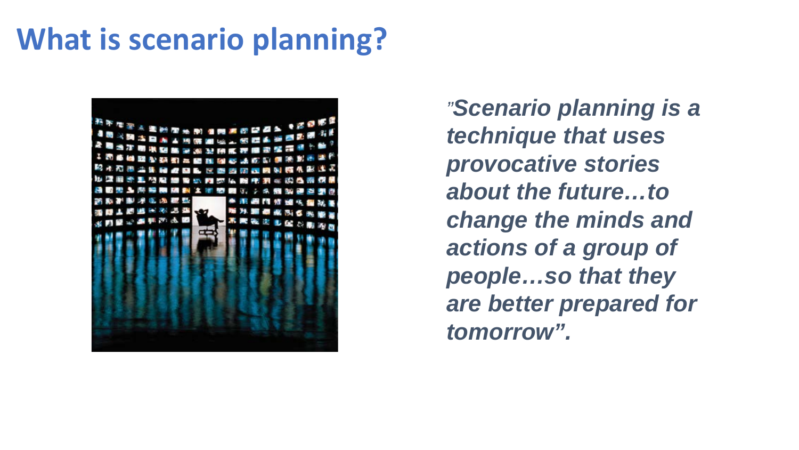### **What is scenario planning?**



*"Scenario planning is a technique that uses provocative stories about the future…to change the minds and actions of a group of people…so that they are better prepared for tomorrow".*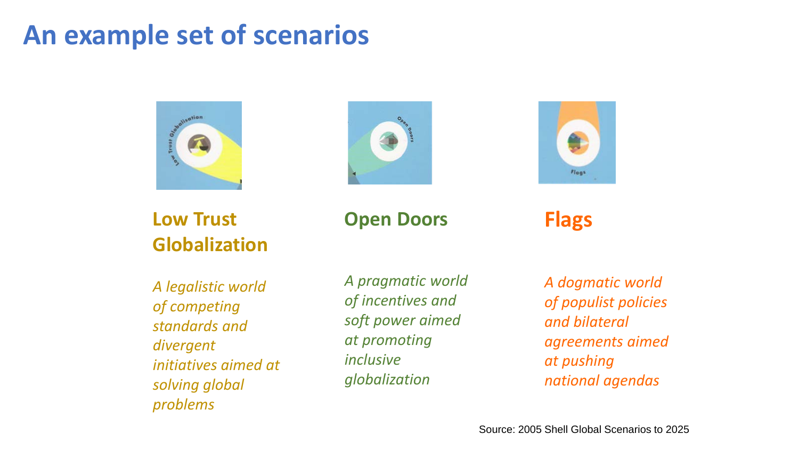#### **An example set of scenarios**





*A legalistic world of competing standards and divergent initiatives aimed at solving global problems*



**Open Doors**

*A pragmatic world of incentives and soft power aimed at promoting inclusive globalization*

**Flags**

Flags

*A dogmatic world of populist policies and bilateral agreements aimed at pushing national agendas*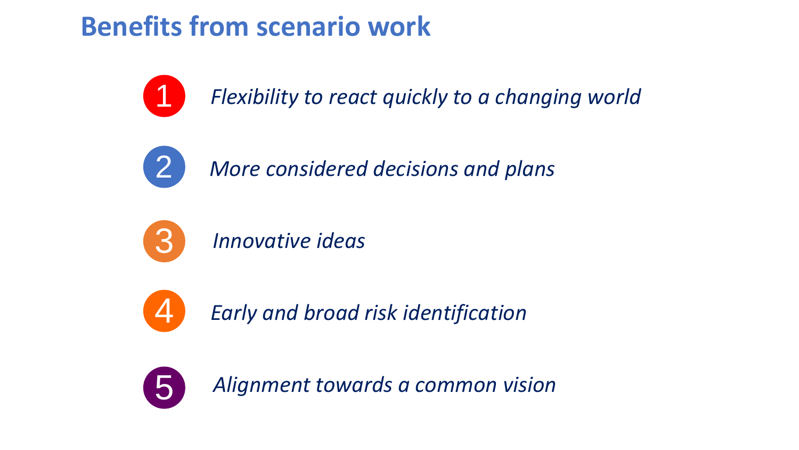**Benefits from scenario work**



*Flexibility to react quickly to a changing world*



*More considered decisions and plans*



*Innovative ideas*



*Early and broad risk identification*



*Alignment towards a common vision*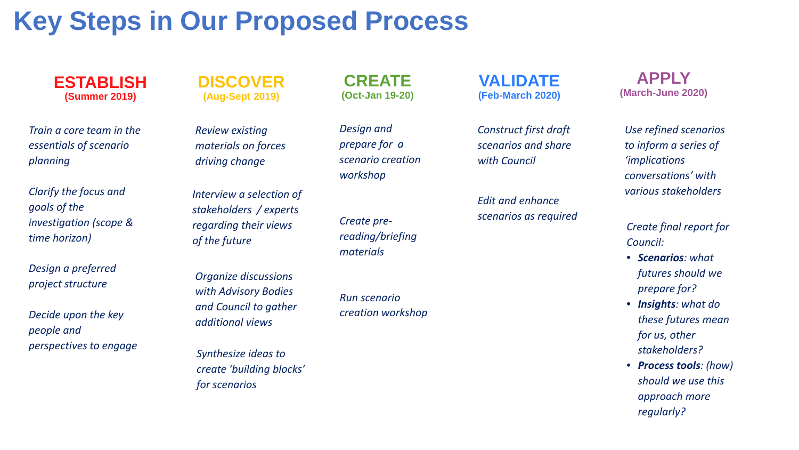#### **Key Steps in Our Proposed Process**

**ESTABLISH (Summer 2019)**

*Train a core team in the essentials of scenario planning*

*Clarify the focus and goals of the investigation (scope & time horizon)*

*Design a preferred project structure*

*Decide upon the key people and perspectives to engage*  **DISCOVER (Aug-Sept 2019)**

*Review existing materials on forces driving change*

*Interview a selection of stakeholders / experts regarding their views of the future*

*Organize discussions with Advisory Bodies and Council to gather additional views* 

*Synthesize ideas to create 'building blocks' for scenarios*

**CREATE (Oct-Jan 19-20)**

*Design and prepare for a scenario creation workshop*

*Create prereading/briefing materials*

*Run scenario creation workshop* 

**VALIDATE (Feb-March 2020)**

*Construct first draft scenarios and share with Council*

*Edit and enhance scenarios as required*

**APPLY (March-June 2020)**

*Use refined scenarios to inform a series of 'implications conversations' with various stakeholders*

*Create final report for Council:*

- *Scenarios: what futures should we prepare for?*
- *Insights: what do these futures mean for us, other stakeholders?*
- *Process tools: (how) should we use this approach more regularly?*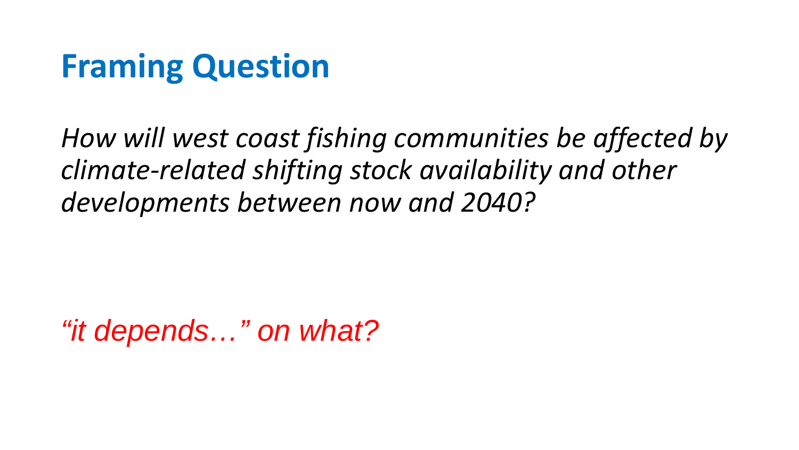## **Framing Question**

*How will west coast fishing communities be affected by climate-related shifting stock availability and other developments between now and 2040?* 

*"it depends…" on what?*